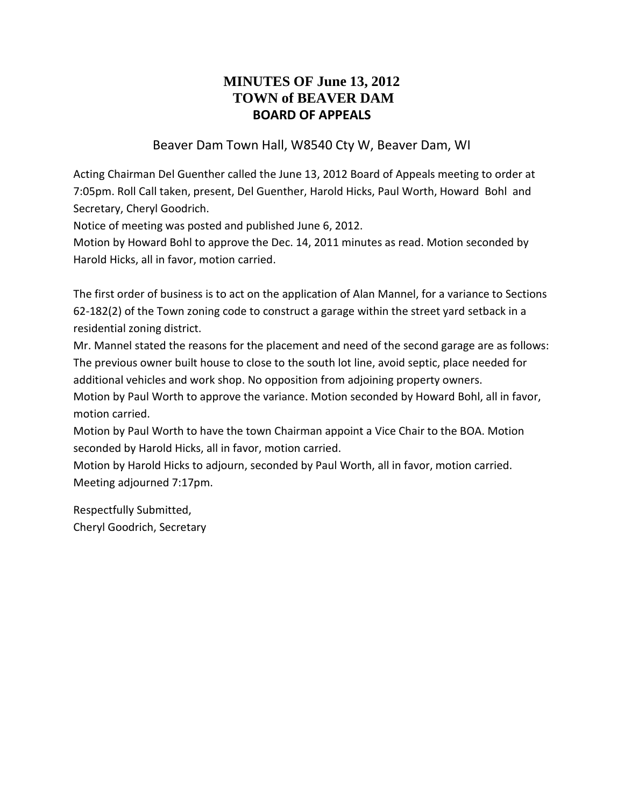# **MINUTES OF June 13, 2012 TOWN of BEAVER DAM BOARD OF APPEALS**

#### Beaver Dam Town Hall, W8540 Cty W, Beaver Dam, WI

Acting Chairman Del Guenther called the June 13, 2012 Board of Appeals meeting to order at 7:05pm. Roll Call taken, present, Del Guenther, Harold Hicks, Paul Worth, Howard Bohl and Secretary, Cheryl Goodrich.

Notice of meeting was posted and published June 6, 2012.

Motion by Howard Bohl to approve the Dec. 14, 2011 minutes as read. Motion seconded by Harold Hicks, all in favor, motion carried.

The first order of business is to act on the application of Alan Mannel, for a variance to Sections 62-182(2) of the Town zoning code to construct a garage within the street yard setback in a residential zoning district.

Mr. Mannel stated the reasons for the placement and need of the second garage are as follows: The previous owner built house to close to the south lot line, avoid septic, place needed for additional vehicles and work shop. No opposition from adjoining property owners.

Motion by Paul Worth to approve the variance. Motion seconded by Howard Bohl, all in favor, motion carried.

Motion by Paul Worth to have the town Chairman appoint a Vice Chair to the BOA. Motion seconded by Harold Hicks, all in favor, motion carried.

Motion by Harold Hicks to adjourn, seconded by Paul Worth, all in favor, motion carried. Meeting adjourned 7:17pm.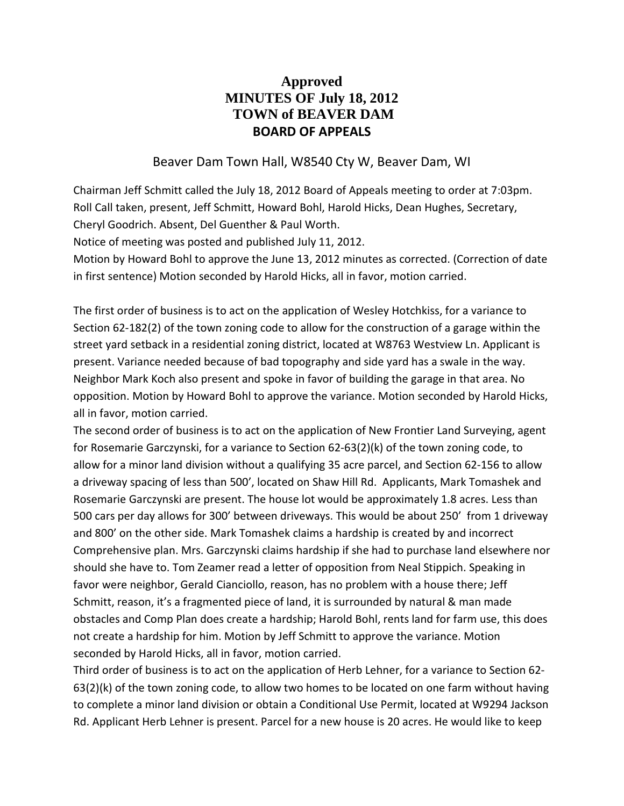## **Approved MINUTES OF July 18, 2012 TOWN of BEAVER DAM BOARD OF APPEALS**

#### Beaver Dam Town Hall, W8540 Cty W, Beaver Dam, WI

Chairman Jeff Schmitt called the July 18, 2012 Board of Appeals meeting to order at 7:03pm. Roll Call taken, present, Jeff Schmitt, Howard Bohl, Harold Hicks, Dean Hughes, Secretary, Cheryl Goodrich. Absent, Del Guenther & Paul Worth.

Notice of meeting was posted and published July 11, 2012.

Motion by Howard Bohl to approve the June 13, 2012 minutes as corrected. (Correction of date in first sentence) Motion seconded by Harold Hicks, all in favor, motion carried.

The first order of business is to act on the application of Wesley Hotchkiss, for a variance to Section 62-182(2) of the town zoning code to allow for the construction of a garage within the street yard setback in a residential zoning district, located at W8763 Westview Ln. Applicant is present. Variance needed because of bad topography and side yard has a swale in the way. Neighbor Mark Koch also present and spoke in favor of building the garage in that area. No opposition. Motion by Howard Bohl to approve the variance. Motion seconded by Harold Hicks, all in favor, motion carried.

The second order of business is to act on the application of New Frontier Land Surveying, agent for Rosemarie Garczynski, for a variance to Section 62-63(2)(k) of the town zoning code, to allow for a minor land division without a qualifying 35 acre parcel, and Section 62-156 to allow a driveway spacing of less than 500', located on Shaw Hill Rd. Applicants, Mark Tomashek and Rosemarie Garczynski are present. The house lot would be approximately 1.8 acres. Less than 500 cars per day allows for 300' between driveways. This would be about 250' from 1 driveway and 800' on the other side. Mark Tomashek claims a hardship is created by and incorrect Comprehensive plan. Mrs. Garczynski claims hardship if she had to purchase land elsewhere nor should she have to. Tom Zeamer read a letter of opposition from Neal Stippich. Speaking in favor were neighbor, Gerald Cianciollo, reason, has no problem with a house there; Jeff Schmitt, reason, it's a fragmented piece of land, it is surrounded by natural & man made obstacles and Comp Plan does create a hardship; Harold Bohl, rents land for farm use, this does not create a hardship for him. Motion by Jeff Schmitt to approve the variance. Motion seconded by Harold Hicks, all in favor, motion carried.

Third order of business is to act on the application of Herb Lehner, for a variance to Section 62- 63(2)(k) of the town zoning code, to allow two homes to be located on one farm without having to complete a minor land division or obtain a Conditional Use Permit, located at W9294 Jackson Rd. Applicant Herb Lehner is present. Parcel for a new house is 20 acres. He would like to keep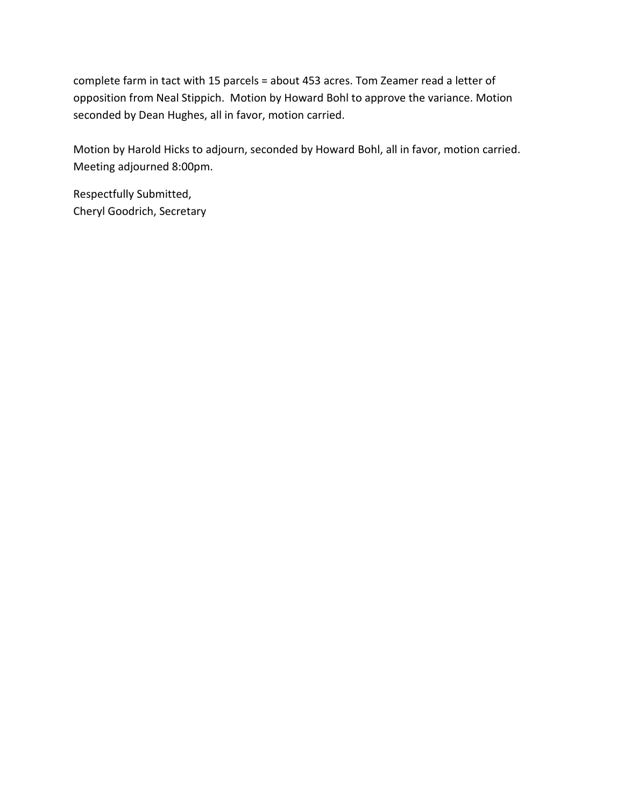complete farm in tact with 15 parcels = about 453 acres. Tom Zeamer read a letter of opposition from Neal Stippich. Motion by Howard Bohl to approve the variance. Motion seconded by Dean Hughes, all in favor, motion carried.

Motion by Harold Hicks to adjourn, seconded by Howard Bohl, all in favor, motion carried. Meeting adjourned 8:00pm.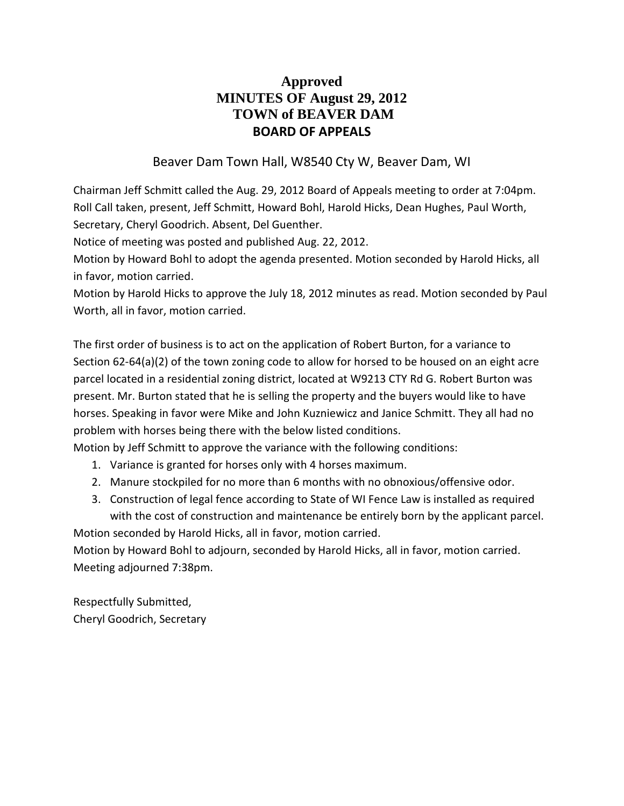## **Approved MINUTES OF August 29, 2012 TOWN of BEAVER DAM BOARD OF APPEALS**

### Beaver Dam Town Hall, W8540 Cty W, Beaver Dam, WI

Chairman Jeff Schmitt called the Aug. 29, 2012 Board of Appeals meeting to order at 7:04pm. Roll Call taken, present, Jeff Schmitt, Howard Bohl, Harold Hicks, Dean Hughes, Paul Worth, Secretary, Cheryl Goodrich. Absent, Del Guenther.

Notice of meeting was posted and published Aug. 22, 2012.

Motion by Howard Bohl to adopt the agenda presented. Motion seconded by Harold Hicks, all in favor, motion carried.

Motion by Harold Hicks to approve the July 18, 2012 minutes as read. Motion seconded by Paul Worth, all in favor, motion carried.

The first order of business is to act on the application of Robert Burton, for a variance to Section 62-64(a)(2) of the town zoning code to allow for horsed to be housed on an eight acre parcel located in a residential zoning district, located at W9213 CTY Rd G. Robert Burton was present. Mr. Burton stated that he is selling the property and the buyers would like to have horses. Speaking in favor were Mike and John Kuzniewicz and Janice Schmitt. They all had no problem with horses being there with the below listed conditions.

Motion by Jeff Schmitt to approve the variance with the following conditions:

- 1. Variance is granted for horses only with 4 horses maximum.
- 2. Manure stockpiled for no more than 6 months with no obnoxious/offensive odor.
- 3. Construction of legal fence according to State of WI Fence Law is installed as required with the cost of construction and maintenance be entirely born by the applicant parcel.

Motion seconded by Harold Hicks, all in favor, motion carried.

Motion by Howard Bohl to adjourn, seconded by Harold Hicks, all in favor, motion carried. Meeting adjourned 7:38pm.